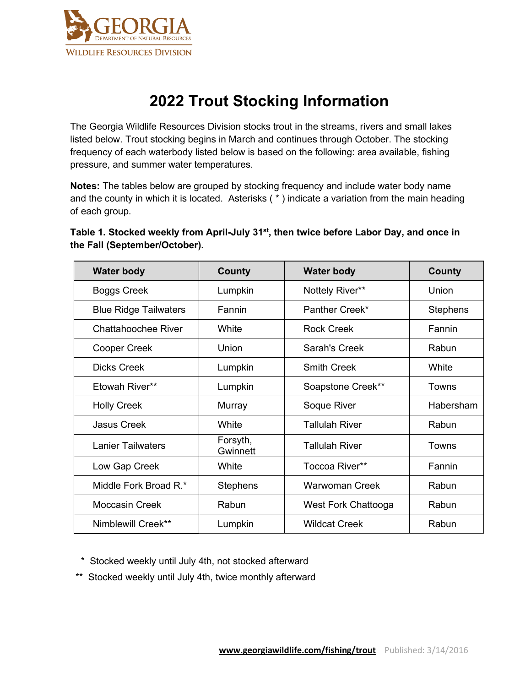

# **2022 Trout Stocking Information**

The Georgia Wildlife Resources Division stocks trout in the streams, rivers and small lakes listed below. Trout stocking begins in March and continues through October. The stocking frequency of each waterbody listed below is based on the following: area available, fishing pressure, and summer water temperatures.

**Notes:** The tables below are grouped by stocking frequency and include water body name and the county in which it is located. Asterisks ( \* ) indicate a variation from the main heading of each group.

| Table 1. Stocked weekly from April-July 31 <sup>st</sup> , then twice before Labor Day, and once in |  |
|-----------------------------------------------------------------------------------------------------|--|
| the Fall (September/October).                                                                       |  |

| <b>Water body</b>            | <b>County</b>        | <b>Water body</b>     | County          |
|------------------------------|----------------------|-----------------------|-----------------|
| <b>Boggs Creek</b>           | Lumpkin              | Nottely River**       | Union           |
| <b>Blue Ridge Tailwaters</b> | Fannin               | Panther Creek*        | <b>Stephens</b> |
| Chattahoochee River          | White                | <b>Rock Creek</b>     | Fannin          |
| <b>Cooper Creek</b>          | Union                | Sarah's Creek         | Rabun           |
| <b>Dicks Creek</b>           | Lumpkin              | <b>Smith Creek</b>    | White           |
| Etowah River**               | Lumpkin              | Soapstone Creek**     | Towns           |
| <b>Holly Creek</b>           | Murray               | Soque River           | Habersham       |
| <b>Jasus Creek</b>           | White                | <b>Tallulah River</b> | Rabun           |
| <b>Lanier Tailwaters</b>     | Forsyth,<br>Gwinnett | <b>Tallulah River</b> | Towns           |
| Low Gap Creek                | White                | Toccoa River**        | Fannin          |
| Middle Fork Broad R.*        | <b>Stephens</b>      | <b>Warwoman Creek</b> | Rabun           |
| <b>Moccasin Creek</b>        | Rabun                | West Fork Chattooga   | Rabun           |
| Nimblewill Creek**           | Lumpkin              | <b>Wildcat Creek</b>  | Rabun           |

\* Stocked weekly until July 4th, not stocked afterward

\*\* Stocked weekly until July 4th, twice monthly afterward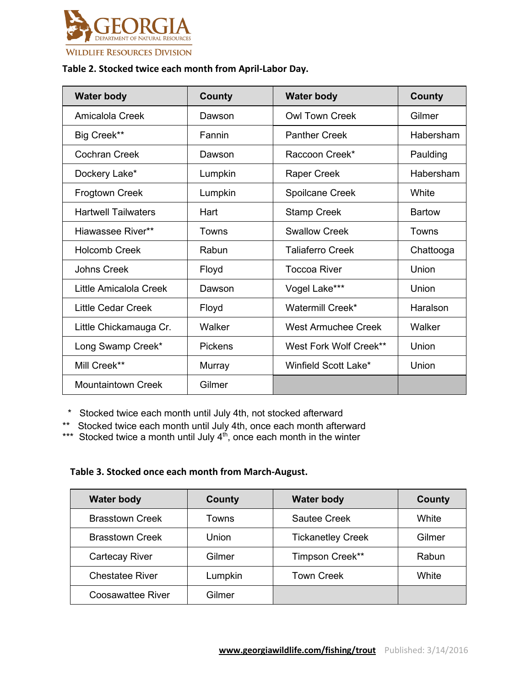

#### **Table 2. Stocked twice each month from April-Labor Day.**

| <b>Water body</b>          | <b>County</b>  | <b>Water body</b>       | <b>County</b> |
|----------------------------|----------------|-------------------------|---------------|
| Amicalola Creek            | Dawson         | <b>Owl Town Creek</b>   | Gilmer        |
| Big Creek**                | Fannin         | <b>Panther Creek</b>    | Habersham     |
| <b>Cochran Creek</b>       | Dawson         | Raccoon Creek*          | Paulding      |
| Dockery Lake*              | Lumpkin        | Raper Creek             | Habersham     |
| Frogtown Creek             | Lumpkin        | Spoilcane Creek         | White         |
| <b>Hartwell Tailwaters</b> | Hart           | <b>Stamp Creek</b>      | <b>Bartow</b> |
| Hiawassee River**          | Towns          | <b>Swallow Creek</b>    | Towns         |
| <b>Holcomb Creek</b>       | Rabun          | <b>Taliaferro Creek</b> | Chattooga     |
| <b>Johns Creek</b>         | Floyd          | <b>Toccoa River</b>     | Union         |
| Little Amicalola Creek     | Dawson         | Vogel Lake***           | Union         |
| <b>Little Cedar Creek</b>  | Floyd          | Watermill Creek*        | Haralson      |
| Little Chickamauga Cr.     | Walker         | West Armuchee Creek     | Walker        |
| Long Swamp Creek*          | <b>Pickens</b> | West Fork Wolf Creek**  | Union         |
| Mill Creek**               | Murray         | Winfield Scott Lake*    | Union         |
| <b>Mountaintown Creek</b>  | Gilmer         |                         |               |

\* Stocked twice each month until July 4th, not stocked afterward

\*\* Stocked twice each month until July 4th, once each month afterward

\*\*\* Stocked twice a month until July  $4<sup>th</sup>$ , once each month in the winter

#### **Table 3. Stocked once each month from March-August.**

| <b>Water body</b>      | County  | <b>Water body</b>        | County |
|------------------------|---------|--------------------------|--------|
| <b>Brasstown Creek</b> | Towns   | <b>Sautee Creek</b>      | White  |
| <b>Brasstown Creek</b> | Union   | <b>Tickanetley Creek</b> | Gilmer |
| <b>Cartecay River</b>  | Gilmer  | Timpson Creek**          | Rabun  |
| <b>Chestatee River</b> | Lumpkin | <b>Town Creek</b>        | White  |
| Coosawattee River      | Gilmer  |                          |        |